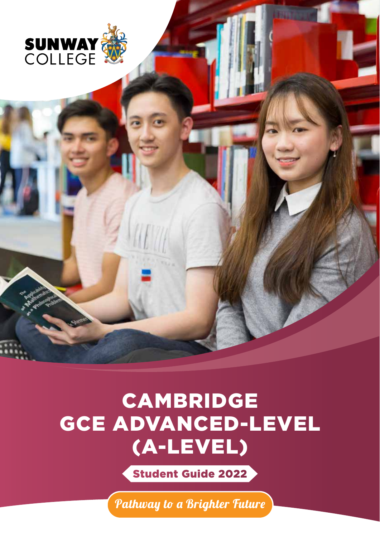

# CAMBRIDGE GCE ADVANCED-LEVEL (A-LEVEL)

Student Guide 2022

Pathway to a Brighter Future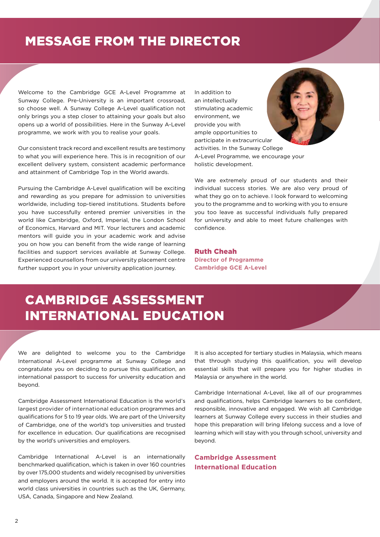# MESSAGE FROM THE DIRECTOR

Welcome to the Cambridge GCE A-Level Programme at Sunway College. Pre-University is an important crossroad, so choose well. A Sunway College A-Level qualification not only brings you a step closer to attaining your goals but also opens up a world of possibilities. Here in the Sunway A-Level programme, we work with you to realise your goals.

Our consistent track record and excellent results are testimony to what you will experience here. This is in recognition of our excellent delivery system, consistent academic performance and attainment of Cambridge Top in the World awards.

Pursuing the Cambridge A-Level qualification will be exciting and rewarding as you prepare for admission to universities worldwide, including top-tiered institutions. Students before you have successfully entered premier universities in the world like Cambridge, Oxford, Imperial, the London School of Economics, Harvard and MIT. Your lecturers and academic mentors will guide you in your academic work and advise you on how you can benefit from the wide range of learning facilities and support services available at Sunway College. Experienced counsellors from our university placement centre further support you in your university application journey.

In addition to an intellectually stimulating academic environment, we provide you with ample opportunities to participate in extracurricular activities. In the Sunway College A-Level Programme, we encourage your holistic development.

We are extremely proud of our students and their individual success stories. We are also very proud of what they go on to achieve. I look forward to welcoming you to the programme and to working with you to ensure you too leave as successful individuals fully prepared for university and able to meet future challenges with confidence.

Ruth Cheah **Director of Programme Cambridge GCE A-Level**

# CAMBRIDGE ASSESSMENT INTERNATIONAL EDUCATION

We are delighted to welcome you to the Cambridge International A-Level programme at Sunway College and congratulate you on deciding to pursue this qualification, an international passport to success for university education and beyond.

Cambridge Assessment International Education is the world's largest provider of international education programmes and qualifications for 5 to 19 year olds. We are part of the University of Cambridge, one of the world's top universities and trusted for excellence in education. Our qualifications are recognised by the world's universities and employers.

Cambridge International A-Level is an internationally benchmarked qualification, which is taken in over 160 countries by over 175,000 students and widely recognised by universities and employers around the world. It is accepted for entry into world class universities in countries such as the UK, Germany, USA, Canada, Singapore and New Zealand.

It is also accepted for tertiary studies in Malaysia, which means that through studying this qualification, you will develop essential skills that will prepare you for higher studies in Malaysia or anywhere in the world.

Cambridge International A-Level, like all of our programmes and qualifications, helps Cambridge learners to be confident, responsible, innovative and engaged. We wish all Cambridge learners at Sunway College every success in their studies and hope this preparation will bring lifelong success and a love of learning which will stay with you through school, university and beyond.

### **Cambridge Assessment International Education**

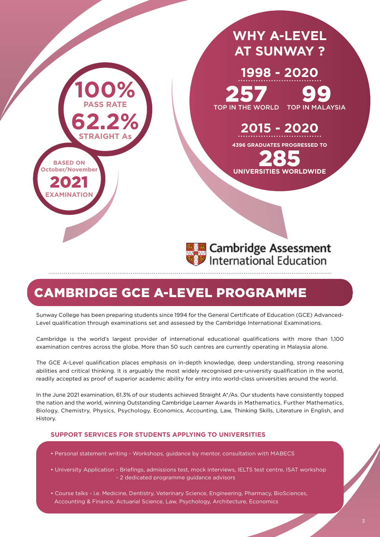

# CAMBRIDGE GCE A-LEVEL PROGRAMME

Sunway College has been preparing students since 1994 for the General Certificate of Education (GCE) Advanced-Level qualification through examinations set and assessed by the Cambridge International Examinations.

Cambridge is the world's largest provider of international educational qualifications with more than 1,100 examination centres across the globe. More than 50 such centres are currently operating in Malaysia alone.

The GCE A-Level qualification places emphasis on in-depth knowledge, deep understanding, strong reasoning abilities and critical thinking. It is arguably the most widely recognised pre-university qualification in the world, readily accepted as proof of superior academic ability for entry into world-class universities around the world.

In the June 2021 examination, 61.3% of our students achieved Straight A\*/As. Our students have consistently topped the nation and the world, winning Outstanding Cambridge Learner Awards in Mathematics, Further Mathematics, Biology, Chemistry, Physics, Psychology, Economics, Accounting, Law, Thinking Skills, Literature in English, and History.

#### **SUPPORT SERVICES FOR STUDENTS APPLYING TO UNIVERSITIES**

- Personal statement writing Workshops, guidance by mentor, consultation with MABECS
- University Application Briefings, admissions test, mock interviews, IELTS test centre, ISAT workshop - 2 dedicated programme guidance advisors
- Course talks i.e. Medicine, Dentistry, Veterinary Science, Engineering, Pharmacy, BioSciences, Accounting & Finance, Actuarial Science, Law, Psychology, Architecture, Economics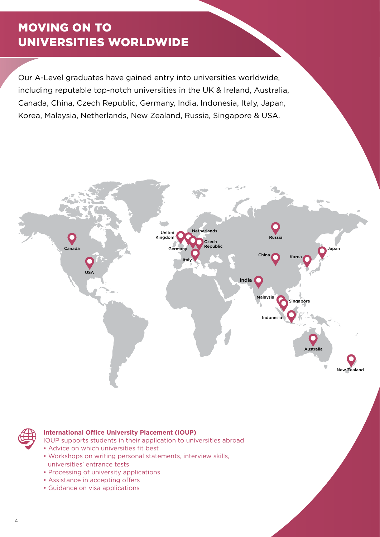# MOVING ON TO UNIVERSITIES WORLDWIDE

Our A-Level graduates have gained entry into universities worldwide, including reputable top-notch universities in the UK & Ireland, Australia, Canada, China, Czech Republic, Germany, India, Indonesia, Italy, Japan, Korea, Malaysia, Netherlands, New Zealand, Russia, Singapore & USA.





### **International Office University Placement (IOUP)**

IOUP supports students in their application to universities abroad

- Advice on which universities fit best
- Workshops on writing personal statements, interview skills, universities' entrance tests
- Processing of university applications
- Assistance in accepting offers
- Guidance on visa applications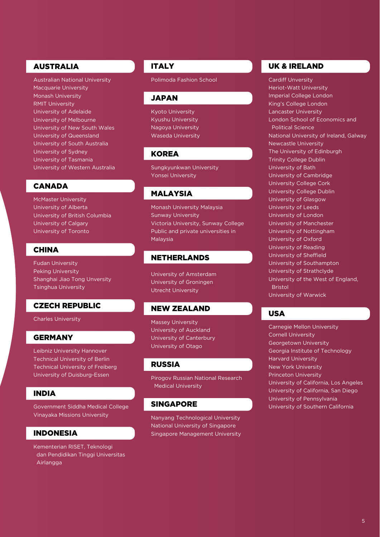# AUSTRALIA

Australian National University Macquarie University Monash University RMIT University University of Adelaide University of Melbourne University of New South Wales University of Queensland University of South Australia University of Sydney University of Tasmania University of Western Australia

# CANADA

McMaster University University of Alberta University of British Columbia University of Calgary University of Toronto

# **CHINA**

Fudan University Peking University Shanghai Jiao Tong Unversity Tsinghua University

### CZECH REPUBLIC

Charles University

### **GERMANY**

Leibniz University Hannover Technical University of Berlin Technical University of Freiberg University of Duisburg-Essen

# INDIA

Government Siddha Medical College Vinayaka Missions University

# INDONESIA

Kementerian RISET, Teknologi dan Pendidikan Tinggi Universitas Airlangga

# **ITALY**

Polimoda Fashion School

#### JAPAN

Kyoto University Kyushu University Nagoya University Waseda University

# **KOREA**

Sungkyunkwan University Yonsei University

# MALAYSIA

Monash University Malaysia Sunway University Victoria University, Sunway College Public and private universities in Malaysia

# NETHERLANDS

University of Amsterdam University of Groningen Utrecht University

### NEW ZEALAND

Massey University University of Auckland University of Canterbury University of Otago

#### RUSSIA

Pirogov Russian National Research Medical University

# SINGAPORE

Nanyang Technological University National University of Singapore Singapore Management University

# UK & IRELAND

Cardiff Unversity Heriot-Watt University Imperial College London King's College London Lancaster University London School of Economics and Political Science National University of Ireland, Galway Newcastle University The University of Edinburgh Trinity College Dublin University of Bath University of Cambridge University College Cork University College Dublin University of Glasgow University of Leeds University of London University of Manchester University of Nottingham University of Oxford University of Reading University of Sheffield University of Southampton University of Strathclyde University of the West of England, Bristol University of Warwick

# USA

Carnegie Mellon University Cornell University Georgetown University Georgia Institute of Technology Harvard University New York University Princeton University University of California, Los Angeles University of California, San Diego University of Pennsylvania University of Southern California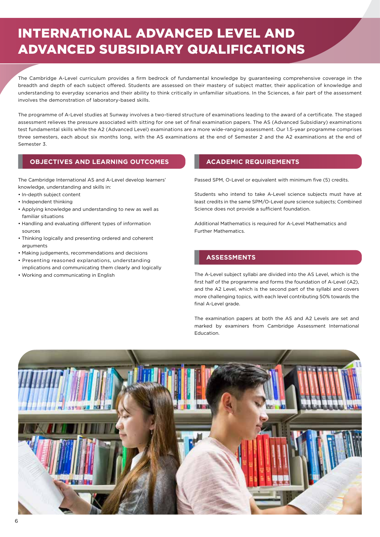# INTERNATIONAL ADVANCED LEVEL AND ADVANCED SUBSIDIARY QUALIFICATIONS

The Cambridge A-Level curriculum provides a firm bedrock of fundamental knowledge by guaranteeing comprehensive coverage in the breadth and depth of each subject offered. Students are assessed on their mastery of subject matter, their application of knowledge and understanding to everyday scenarios and their ability to think critically in unfamiliar situations. In the Sciences, a fair part of the assessment involves the demonstration of laboratory-based skills.

The programme of A-Level studies at Sunway involves a two-tiered structure of examinations leading to the award of a certificate. The staged assessment relieves the pressure associated with sitting for one set of final examination papers. The AS (Advanced Subsidiary) examinations test fundamental skills while the A2 (Advanced Level) examinations are a more wide-ranging assessment. Our 1.5-year programme comprises three semesters, each about six months long, with the AS examinations at the end of Semester 2 and the A2 examinations at the end of Semester 3.

### **OBJECTIVES AND LEARNING OUTCOMES ACADEMIC REQUIREMENTS**

The Cambridge International AS and A-Level develop learners' knowledge, understanding and skills in:

- In-depth subject content
- Independent thinking
- Applying knowledge and understanding to new as well as familiar situations
- Handling and evaluating different types of information sources
- Thinking logically and presenting ordered and coherent arguments
- Making judgements, recommendations and decisions
- Presenting reasoned explanations, understanding
- implications and communicating them clearly and logically • Working and communicating in English

Passed SPM, O-Level or equivalent with minimum five (5) credits.

Students who intend to take A-Level science subjects must have at least credits in the same SPM/O-Level pure science subjects; Combined Science does not provide a sufficient foundation.

Additional Mathematics is required for A-Level Mathematics and Further Mathematics.

### **ASSESSMENTS**

The A-Level subject syllabi are divided into the AS Level, which is the first half of the programme and forms the foundation of A-Level (A2), and the A2 Level, which is the second part of the syllabi and covers more challenging topics, with each level contributing 50% towards the final A-Level grade.

The examination papers at both the AS and A2 Levels are set and marked by examiners from Cambridge Assessment International Education.

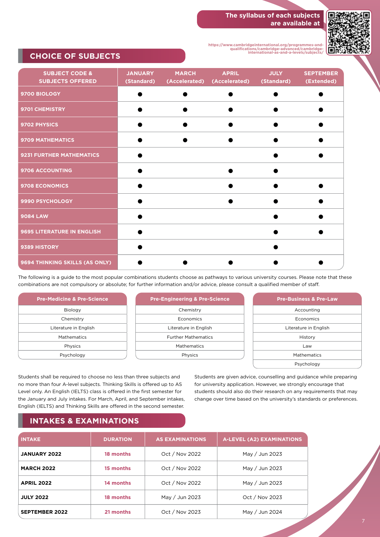#### **The syllabus of each subjects are available at**



**https://www.cambridgeinternational.org/programmes-andqualifications/cambridge-advanced/cambridge-international-as-and-a-levels/subjects/**

# **CHOICE OF SUBJECTS**

| <b>SUBJECT CODE &amp;</b><br><b>SUBJECTS OFFERED</b> | <b>JANUARY</b><br>(Standard) | <b>MARCH</b><br>(Accelerated) | <b>APRIL</b><br>(Accelerated) | <b>JULY</b><br>(Standard) | <b>SEPTEMBER</b><br>(Extended) |
|------------------------------------------------------|------------------------------|-------------------------------|-------------------------------|---------------------------|--------------------------------|
| 9700 BIOLOGY                                         |                              |                               |                               |                           |                                |
| 9701 CHEMISTRY                                       |                              |                               |                               |                           |                                |
| 9702 PHYSICS                                         |                              |                               |                               |                           |                                |
| <b>9709 MATHEMATICS</b>                              |                              |                               |                               |                           |                                |
| 9231 FURTHER MATHEMATICS                             |                              |                               |                               |                           |                                |
| 9706 ACCOUNTING                                      |                              |                               |                               |                           |                                |
| <b>9708 ECONOMICS</b>                                |                              |                               |                               |                           |                                |
| 9990 PSYCHOLOGY                                      |                              |                               |                               |                           |                                |
| <b>9084 LAW</b>                                      |                              |                               |                               |                           |                                |
| 9695 LITERATURE IN ENGLISH                           |                              |                               |                               |                           |                                |
| 9389 HISTORY                                         |                              |                               |                               |                           |                                |
| 9694 THINKING SKILLS (AS ONLY)                       |                              |                               |                               |                           |                                |

The following is a guide to the most popular combinations students choose as pathways to various university courses. Please note that these combinations are not compulsory or absolute; for further information and/or advice, please consult a qualified member of staff.

| <b>Pre-Medicine &amp; Pre-Science</b> |
|---------------------------------------|
| Biology                               |
| Chemistry                             |
| Literature in English                 |
| Mathematics                           |
| Physics                               |
| Psychology                            |

| <b>Pre-Engineering &amp; Pre-Science</b> |
|------------------------------------------|
| Chemistry                                |
| Economics                                |
| Literature in English                    |
| <b>Further Mathematics</b>               |
| <b>Mathematics</b>                       |
| Physics                                  |
|                                          |

| <b>Pre-Business &amp; Pre-Law</b> |
|-----------------------------------|
| Accounting                        |
| Economics                         |
| Literature in English             |
| History                           |
| Law                               |
| Mathematics                       |
| Psychology                        |

Students shall be required to choose no less than three subjects and no more than four A-level subjects. Thinking Skills is offered up to AS Level only. An English (IELTS) class is offered in the first semester for the January and July intakes. For March, April, and September intakes, English (IELTS) and Thinking Skills are offered in the second semester.

Students are given advice, counselling and guidance while preparing for university application. However, we strongly encourage that students should also do their research on any requirements that may change over time based on the university's standards or preferences.

# **INTAKES & EXAMINATIONS**

| <b>INTAKE</b>         | <b>DURATION</b> | <b>AS EXAMINATIONS</b> | <b>A-LEVEL (A2) EXAMINATIONS</b> |
|-----------------------|-----------------|------------------------|----------------------------------|
| <b>JANUARY 2022</b>   | 18 months       | Oct / Nov 2022         | May / Jun 2023                   |
| <b>MARCH 2022</b>     | 15 months       | Oct / Nov 2022         | May / Jun 2023                   |
| <b>APRIL 2022</b>     | 14 months       | Oct / Nov 2022         | May / Jun 2023                   |
| <b>JULY 2022</b>      | 18 months       | May / Jun 2023         | Oct / Nov 2023                   |
| <b>SEPTEMBER 2022</b> | 21 months       | Oct / Nov 2023         | May / Jun 2024                   |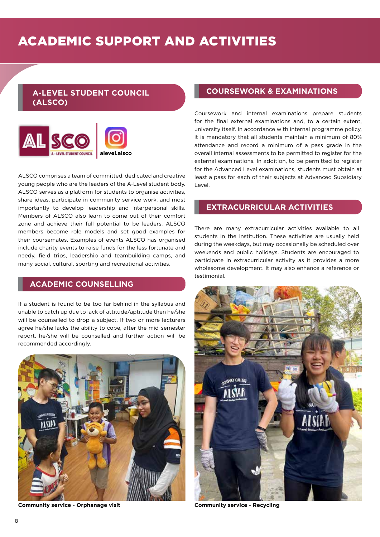# **A-LEVEL STUDENT COUNCIL (ALSCO)**



ALSCO comprises a team of committed, dedicated and creative young people who are the leaders of the A-Level student body. ALSCO serves as a platform for students to organise activities, share ideas, participate in community service work, and most importantly to develop leadership and interpersonal skills. Members of ALSCO also learn to come out of their comfort zone and achieve their full potential to be leaders. ALSCO members become role models and set good examples for their coursemates. Examples of events ALSCO has organised include charity events to raise funds for the less fortunate and needy, field trips, leadership and teambuilding camps, and many social, cultural, sporting and recreational activities.

# **ACADEMIC COUNSELLING**

If a student is found to be too far behind in the syllabus and unable to catch up due to lack of attitude/aptitude then he/she will be counselled to drop a subject. If two or more lecturers agree he/she lacks the ability to cope, after the mid-semester report, he/she will be counselled and further action will be recommended accordingly.



**Community service - Orphanage visit Community service - Recycling**

# **COURSEWORK & EXAMINATIONS**

Coursework and internal examinations prepare students for the final external examinations and, to a certain extent, university itself. In accordance with internal programme policy, it is mandatory that all students maintain a minimum of 80% attendance and record a minimum of a pass grade in the overall internal assessments to be permitted to register for the external examinations. In addition, to be permitted to register for the Advanced Level examinations, students must obtain at least a pass for each of their subjects at Advanced Subsidiary Level.

# **EXTRACURRICULAR ACTIVITIES**

There are many extracurricular activities available to all students in the institution. These activities are usually held during the weekdays, but may occasionally be scheduled over weekends and public holidays. Students are encouraged to participate in extracurricular activity as it provides a more wholesome development. It may also enhance a reference or testimonial.

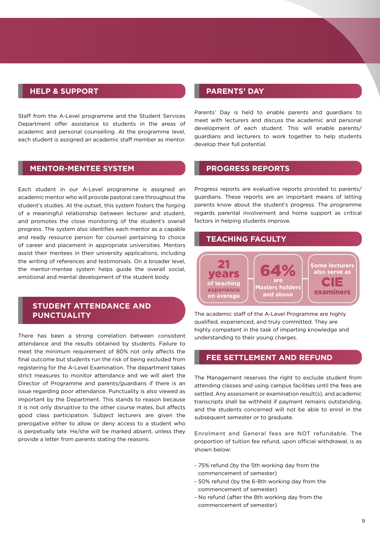### **HELP & SUPPORT**

Staff from the A-Level programme and the Student Services Department offer assistance to students in the areas of academic and personal counselling. At the programme level, each student is assigned an academic staff member as mentor.

#### **MENTOR-MENTEE SYSTEM**

Each student in our A-Level programme is assigned an academic mentor who will provide pastoral care throughout the student's studies. At the outset, this system fosters the forging of a meaningful relationship between lecturer and student, and promotes the close monitoring of the student's overall progress. The system also identifies each mentor as a capable and ready resource person for counsel pertaining to choice of career and placement in appropriate universities. Mentors assist their mentees in their university applications, including the writing of references and testimonials. On a broader level, the mentor-mentee system helps guide the overall social, emotional and mental development of the student body.

# **STUDENT ATTENDANCE AND PUNCTUALITY**

There has been a strong correlation between consistent attendance and the results obtained by students. Failure to meet the minimum requirement of 80% not only affects the final outcome but students run the risk of being excluded from registering for the A-Level Examination. The department takes strict measures to monitor attendance and we will alert the Director of Programme and parents/guardians if there is an issue regarding poor attendance. Punctuality is also viewed as important by the Department. This stands to reason because it is not only disruptive to the other course mates, but affects good class participation. Subject lecturers are given the prerogative either to allow or deny access to a student who is perpetually late. He/she will be marked absent, unless they provide a letter from parents stating the reasons.

# **PARENTS' DAY**

Parents' Day is held to enable parents and guardians to meet with lecturers and discuss the academic and personal development of each student. This will enable parents/ guardians and lecturers to work together to help students develop their full potential.

#### **PROGRESS REPORTS**

Progress reports are evaluative reports provided to parents/ guardians. These reports are an important means of letting parents know about the student's progress. The programme regards parental involvement and home support as critical factors in helping students improve.

# **TEACHING FACULTY**



The academic staff of the A-Level Programme are highly qualified, experienced, and truly committed. They are highly competent in the task of imparting knowledge and understanding to their young charges.

### **FEE SETTLEMENT AND REFUND**

The Management reserves the right to exclude student from attending classes and using campus facilities until the fees are settled. Any assessment or examination result(s), and academic transcripts shall be withheld if payment remains outstanding, and the students concerned will not be able to enrol in the subsequent semester or to graduate.

Enrolment and General fees are NOT refundable. The proportion of tuition fee refund, upon official withdrawal, is as shown below:

- 75% refund (by the 5th working day from the commencement of semester)
- 50% refund (by the 6-8th working day from the commencement of semester)
- No refund (after the 8th working day from the commencement of semester)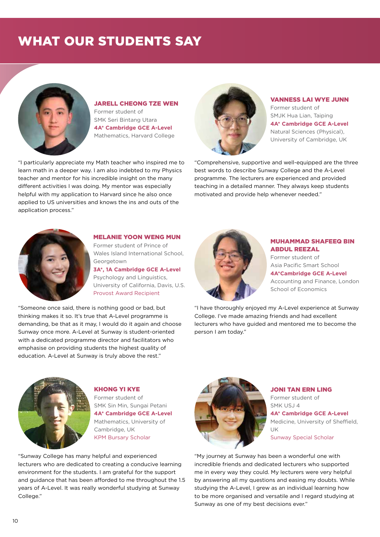# WHAT OUR STUDENTS SAY



JARELL CHEONG TZE WEN Former student of SMK Seri Bintang Utara **4A\* Cambridge GCE A-Level** Mathematics, Harvard College

"I particularly appreciate my Math teacher who inspired me to learn math in a deeper way. I am also indebted to my Physics teacher and mentor for his incredible insight on the many different activities I was doing. My mentor was especially helpful with my application to Harvard since he also once applied to US universities and knows the ins and outs of the application process."



#### VANNESS LAI WYE JUNN

Former student of SMJK Hua Lian, Taiping **4A\* Cambridge GCE A-Level** Natural Sciences (Physical), University of Cambridge, UK

"Comprehensive, supportive and well-equipped are the three best words to describe Sunway College and the A-Level programme. The lecturers are experienced and provided teaching in a detailed manner. They always keep students motivated and provide help whenever needed."



#### MELANIE YOON WENG MUN Former student of Prince of

Wales Island International School, Georgetown

**3A\*, 1A Cambridge GCE A-Level** Psychology and Linguistics, University of California, Davis, U.S. Provost Award Recipient

"Someone once said, there is nothing good or bad, but thinking makes it so. It's true that A-Level programme is demanding, be that as it may, I would do it again and choose Sunway once more. A-Level at Sunway is student-oriented with a dedicated programme director and facilitators who emphasise on providing students the highest quality of education. A-Level at Sunway is truly above the rest."



#### MUHAMMAD SHAFEEQ BIN ABDUL REEZAL

Former student of Asia Pacific Smart School **4A\*Cambridge GCE A-Level** Accounting and Finance, London

School of Economics

"I have thoroughly enjoyed my A-Level experience at Sunway College. I've made amazing friends and had excellent lecturers who have guided and mentored me to become the person I am today."



KHONG YI KYE Former student of SMK Sin Min, Sungai Petani **4A\* Cambridge GCE A-Level** Mathematics, University of Cambridge, UK KPM Bursary Scholar

"Sunway College has many helpful and experienced lecturers who are dedicated to creating a conducive learning environment for the students. I am grateful for the support and guidance that has been afforded to me throughout the 1.5 years of A-Level. It was really wonderful studying at Sunway College."



#### JONI TAN ERN LING Former student of SMK USJ 4 **4A\* Cambridge GCE A-Level** Medicine, University of Sheffield, UK Sunway Special Scholar

"My journey at Sunway has been a wonderful one with incredible friends and dedicated lecturers who supported me in every way they could. My lecturers were very helpful by answering all my questions and easing my doubts. While studying the A-Level, I grew as an individual learning how to be more organised and versatile and I regard studying at Sunway as one of my best decisions ever."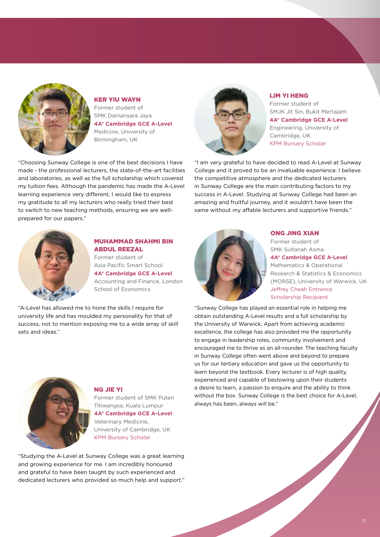

KER YIU WAYN Former student of SMK Damansara Jaya **4A\* Cambridge GCE A-Level** Medicine, University of Birmingham, UK

"Choosing Sunway College is one of the best decisions I have made - the professional lecturers, the state-of-the-art facilities and laboratories, as well as the full scholarship which covered my tuition fees. Although the pandemic has made the A-Level learning experience very different, I would like to express my gratitude to all my lecturers who really tried their best to switch to new teaching methods, ensuring we are wellprepared for our papers."



### LIM YI HENG

Former student of SMJK Jit Sin, Bukit Mertajam **4A\* Cambridge GCE A-Level** Engineering, University of Cambridge, UK KPM Bursary Scholar

"I am very grateful to have decided to read A-Level at Sunway College and it proved to be an invaluable experience. I believe the competitive atmosphere and the dedicated lecturers in Sunway College are the main contributing factors to my success in A-Level. Studying at Sunway College had been an amazing and fruitful journey, and it wouldn't have been the same without my affable lecturers and supportive friends."



#### MUHAMMAD SHAHMI BIN ABDUL REEZAL

Former student of Asia Pacific Smart School **4A\* Cambridge GCE A-Level** Accounting and Finance, London School of Economics

"A-Level has allowed me to hone the skills I require for university life and has moulded my personality for that of success, not to mention exposing me to a wide array of skill sets and ideas."



#### ONG JING XIAN

Former student of SMK Sultanah Asma **4A\* Cambridge GCE A-Level** Mathematics & Operational Research & Statistics & Economics (MORSE), University of Warwick, UK Jeffrey Cheah Entrance Scholarship Recipient

"Sunway College has played an essential role in helping me obtain outstanding A-Level results and a full scholarship by the University of Warwick. Apart from achieving academic excellence, the college has also provided me the opportunity to engage in leadership roles, community involvement and encouraged me to thrive as an all-rounder. The teaching faculty in Sunway College often went above and beyond to prepare us for our tertiary education and gave us the opportunity to learn beyond the textbook. Every lecturer is of high quality, experienced and capable of bestowing upon their students a desire to learn, a passion to enquire and the ability to think without the box. Sunway College is the best choice for A-Level, always has been, always will be."



#### NG JIE YI

Former student of SMK Puteri Titiwangsa, Kuala Lumpur **4A\* Cambridge GCE A-Level** Veterinary Medicine, University of Cambridge, UK KPM Bursary Scholar

"Studying the A-Level at Sunway College was a great learning and growing experience for me. I am incredibly honoured and grateful to have been taught by such experienced and dedicated lecturers who provided so much help and support."